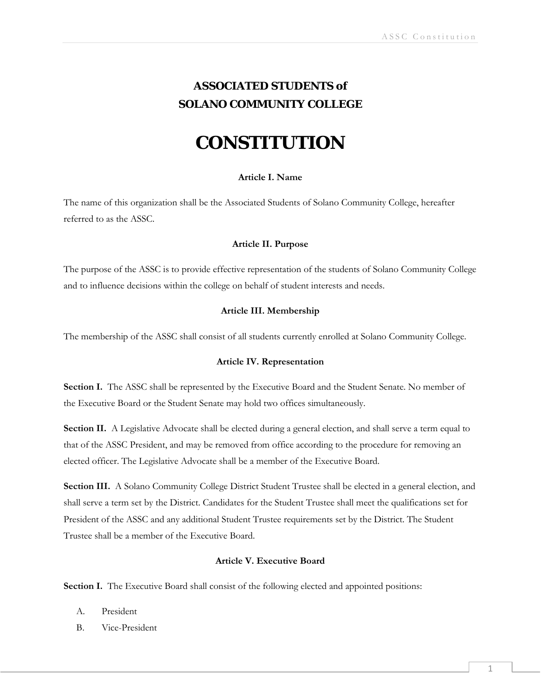# **ASSOCIATED STUDENTS** *of* **SOLANO COMMUNITY COLLEGE**

# **CONSTITUTION**

# **Article I. Name**

The name of this organization shall be the Associated Students of Solano Community College, hereafter referred to as the ASSC.

# **Article II. Purpose**

The purpose of the ASSC is to provide effective representation of the students of Solano Community College and to influence decisions within the college on behalf of student interests and needs.

# **Article III. Membership**

The membership of the ASSC shall consist of all students currently enrolled at Solano Community College.

# **Article IV. Representation**

**Section I.** The ASSC shall be represented by the Executive Board and the Student Senate. No member of the Executive Board or the Student Senate may hold two offices simultaneously.

**Section II.** A Legislative Advocate shall be elected during a general election, and shall serve a term equal to that of the ASSC President, and may be removed from office according to the procedure for removing an elected officer. The Legislative Advocate shall be a member of the Executive Board.

**Section III.** A Solano Community College District Student Trustee shall be elected in a general election, and shall serve a term set by the District. Candidates for the Student Trustee shall meet the qualifications set for President of the ASSC and any additional Student Trustee requirements set by the District. The Student Trustee shall be a member of the Executive Board.

# **Article V. Executive Board**

**Section I.** The Executive Board shall consist of the following elected and appointed positions:

- A. President
- B. Vice-President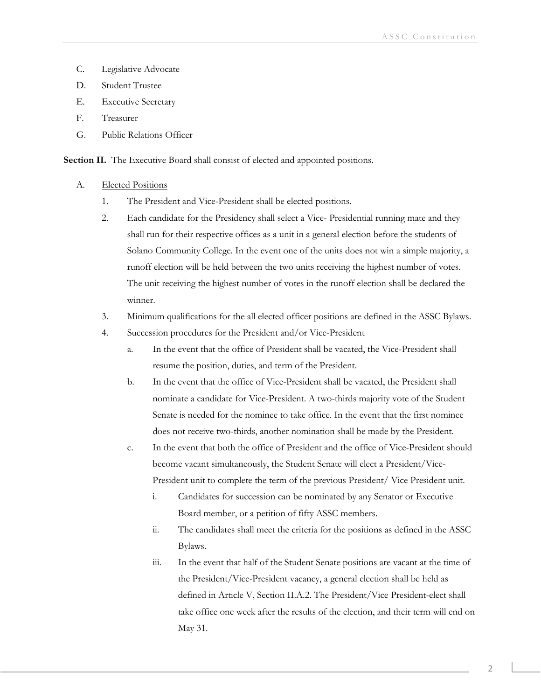- C. Legislative Advocate
- D. Student Trustee
- E. Executive Secretary
- F. Treasurer
- G. Public Relations Officer

**Section II.** The Executive Board shall consist of elected and appointed positions.

# A. Elected Positions

- 1. The President and Vice-President shall be elected positions.
- 2. Each candidate for the Presidency shall select a Vice- Presidential running mate and they shall run for their respective offices as a unit in a general election before the students of Solano Community College. In the event one of the units does not win a simple majority, a runoff election will be held between the two units receiving the highest number of votes. The unit receiving the highest number of votes in the runoff election shall be declared the winner.
- 3. Minimum qualifications for the all elected officer positions are defined in the ASSC Bylaws.
- 4. Succession procedures for the President and/or Vice-President
	- a. In the event that the office of President shall be vacated, the Vice-President shall resume the position, duties, and term of the President.
	- b. In the event that the office of Vice-President shall be vacated, the President shall nominate a candidate for Vice-President. A two-thirds majority vote of the Student Senate is needed for the nominee to take office. In the event that the first nominee does not receive two-thirds, another nomination shall be made by the President.
	- c. In the event that both the office of President and the office of Vice-President should become vacant simultaneously, the Student Senate will elect a President/Vice-President unit to complete the term of the previous President/ Vice President unit.
		- i. Candidates for succession can be nominated by any Senator or Executive Board member, or a petition of fifty ASSC members.
		- ii. The candidates shall meet the criteria for the positions as defined in the ASSC Bylaws.
		- iii. In the event that half of the Student Senate positions are vacant at the time of the President/Vice-President vacancy, a general election shall be held as defined in Article V, Section II.A.2. The President/Vice President-elect shall take office one week after the results of the election, and their term will end on May 31.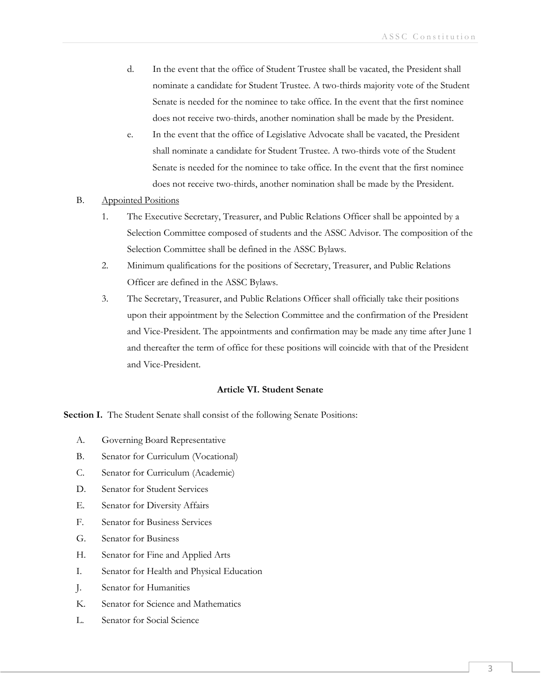- d. In the event that the office of Student Trustee shall be vacated, the President shall nominate a candidate for Student Trustee. A two-thirds majority vote of the Student Senate is needed for the nominee to take office. In the event that the first nominee does not receive two-thirds, another nomination shall be made by the President.
- e. In the event that the office of Legislative Advocate shall be vacated, the President shall nominate a candidate for Student Trustee. A two-thirds vote of the Student Senate is needed for the nominee to take office. In the event that the first nominee does not receive two-thirds, another nomination shall be made by the President.
- B. Appointed Positions
	- 1. The Executive Secretary, Treasurer, and Public Relations Officer shall be appointed by a Selection Committee composed of students and the ASSC Advisor. The composition of the Selection Committee shall be defined in the ASSC Bylaws.
	- 2. Minimum qualifications for the positions of Secretary, Treasurer, and Public Relations Officer are defined in the ASSC Bylaws.
	- 3. The Secretary, Treasurer, and Public Relations Officer shall officially take their positions upon their appointment by the Selection Committee and the confirmation of the President and Vice-President. The appointments and confirmation may be made any time after June 1 and thereafter the term of office for these positions will coincide with that of the President and Vice-President.

# **Article VI. Student Senate**

**Section I.** The Student Senate shall consist of the following Senate Positions:

- A. Governing Board Representative
- B. Senator for Curriculum (Vocational)
- C. Senator for Curriculum (Academic)
- D. Senator for Student Services
- E. Senator for Diversity Affairs
- F. Senator for Business Services
- G. Senator for Business
- H. Senator for Fine and Applied Arts
- I. Senator for Health and Physical Education
- J. Senator for Humanities
- K. Senator for Science and Mathematics
- L. Senator for Social Science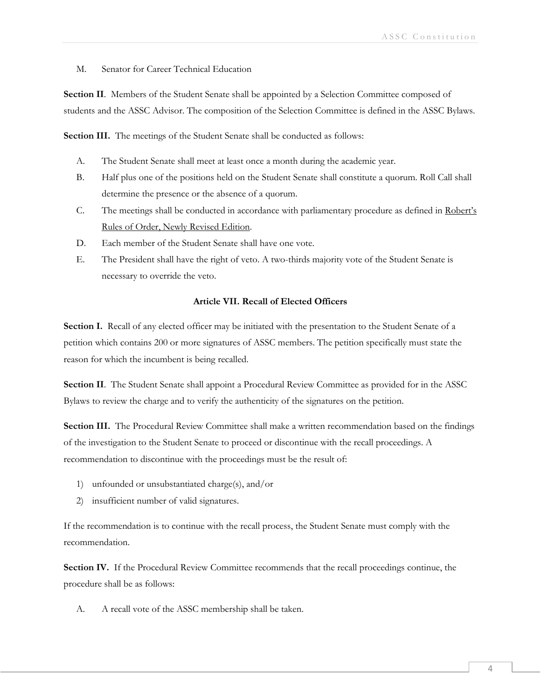M. Senator for Career Technical Education

**Section II**. Members of the Student Senate shall be appointed by a Selection Committee composed of students and the ASSC Advisor. The composition of the Selection Committee is defined in the ASSC Bylaws.

Section III. The meetings of the Student Senate shall be conducted as follows:

- A. The Student Senate shall meet at least once a month during the academic year.
- B. Half plus one of the positions held on the Student Senate shall constitute a quorum. Roll Call shall determine the presence or the absence of a quorum.
- C. The meetings shall be conducted in accordance with parliamentary procedure as defined in Robert's Rules of Order, Newly Revised Edition.
- D. Each member of the Student Senate shall have one vote.
- E. The President shall have the right of veto. A two-thirds majority vote of the Student Senate is necessary to override the veto.

# **Article VII. Recall of Elected Officers**

**Section I.** Recall of any elected officer may be initiated with the presentation to the Student Senate of a petition which contains 200 or more signatures of ASSC members. The petition specifically must state the reason for which the incumbent is being recalled.

**Section II**. The Student Senate shall appoint a Procedural Review Committee as provided for in the ASSC Bylaws to review the charge and to verify the authenticity of the signatures on the petition.

**Section III.** The Procedural Review Committee shall make a written recommendation based on the findings of the investigation to the Student Senate to proceed or discontinue with the recall proceedings. A recommendation to discontinue with the proceedings must be the result of:

- 1) unfounded or unsubstantiated charge(s), and/or
- 2) insufficient number of valid signatures.

If the recommendation is to continue with the recall process, the Student Senate must comply with the recommendation.

Section IV. If the Procedural Review Committee recommends that the recall proceedings continue, the procedure shall be as follows:

A. A recall vote of the ASSC membership shall be taken.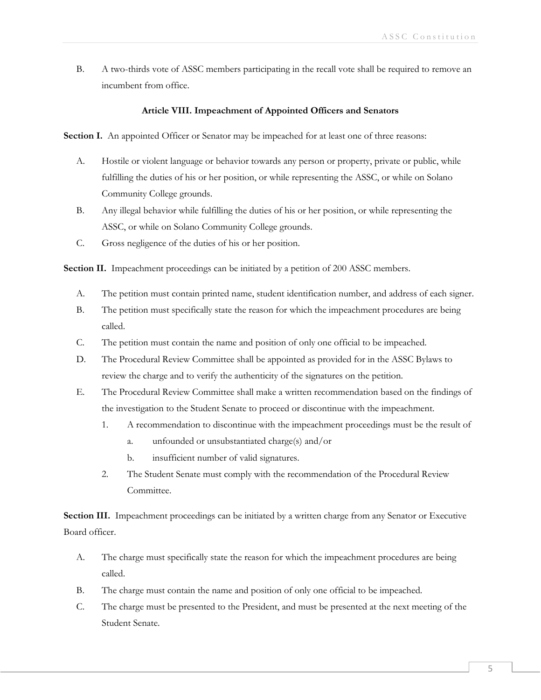B. A two-thirds vote of ASSC members participating in the recall vote shall be required to remove an incumbent from office.

# **Article VIII. Impeachment of Appointed Officers and Senators**

**Section I.** An appointed Officer or Senator may be impeached for at least one of three reasons:

- A. Hostile or violent language or behavior towards any person or property, private or public, while fulfilling the duties of his or her position, or while representing the ASSC, or while on Solano Community College grounds.
- B. Any illegal behavior while fulfilling the duties of his or her position, or while representing the ASSC, or while on Solano Community College grounds.
- C. Gross negligence of the duties of his or her position.

Section II. Impeachment proceedings can be initiated by a petition of 200 ASSC members.

- A. The petition must contain printed name, student identification number, and address of each signer.
- B. The petition must specifically state the reason for which the impeachment procedures are being called.
- C. The petition must contain the name and position of only one official to be impeached.
- D. The Procedural Review Committee shall be appointed as provided for in the ASSC Bylaws to review the charge and to verify the authenticity of the signatures on the petition.
- E. The Procedural Review Committee shall make a written recommendation based on the findings of the investigation to the Student Senate to proceed or discontinue with the impeachment.
	- 1. A recommendation to discontinue with the impeachment proceedings must be the result of
		- a. unfounded or unsubstantiated charge(s) and/or
		- b. insufficient number of valid signatures.
	- 2. The Student Senate must comply with the recommendation of the Procedural Review Committee.

**Section III.** Impeachment proceedings can be initiated by a written charge from any Senator or Executive Board officer.

- A. The charge must specifically state the reason for which the impeachment procedures are being called.
- B. The charge must contain the name and position of only one official to be impeached.
- C. The charge must be presented to the President, and must be presented at the next meeting of the Student Senate.